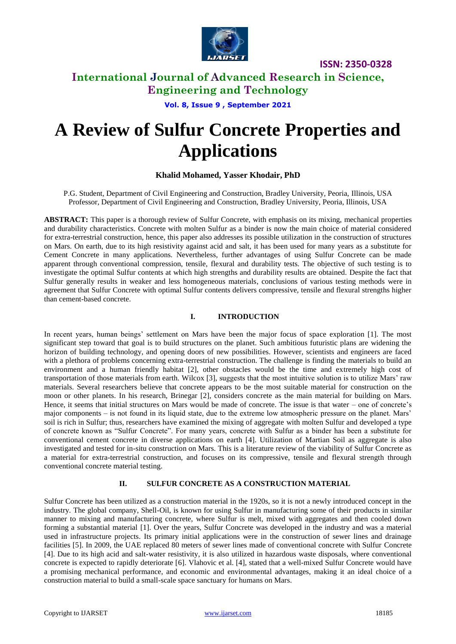

**International Journal of Advanced Research in Science, Engineering and Technology**

**Vol. 8, Issue 9 , September 2021**

# **A Review of Sulfur Concrete Properties and Applications**

#### **Khalid Mohamed, Yasser Khodair, PhD**

P.G. Student, Department of Civil Engineering and Construction, Bradley University, Peoria, Illinois, USA Professor, Department of Civil Engineering and Construction, Bradley University, Peoria, Illinois, USA

**ABSTRACT:** This paper is a thorough review of Sulfur Concrete, with emphasis on its mixing, mechanical properties and durability characteristics. Concrete with molten Sulfur as a binder is now the main choice of material considered for extra-terrestrial construction, hence, this paper also addresses its possible utilization in the construction of structures on Mars. On earth, due to its high resistivity against acid and salt, it has been used for many years as a substitute for Cement Concrete in many applications. Nevertheless, further advantages of using Sulfur Concrete can be made apparent through conventional compression, tensile, flexural and durability tests. The objective of such testing is to investigate the optimal Sulfur contents at which high strengths and durability results are obtained. Despite the fact that Sulfur generally results in weaker and less homogeneous materials, conclusions of various testing methods were in agreement that Sulfur Concrete with optimal Sulfur contents delivers compressive, tensile and flexural strengths higher than cement-based concrete.

#### **I. INTRODUCTION**

In recent years, human beings' settlement on Mars have been the major focus of space exploration [1]. The most significant step toward that goal is to build structures on the planet. Such ambitious futuristic plans are widening the horizon of building technology, and opening doors of new possibilities. However, scientists and engineers are faced with a plethora of problems concerning extra-terrestrial construction. The challenge is finding the materials to build an environment and a human friendly habitat [2], other obstacles would be the time and extremely high cost of transportation of those materials from earth. Wilcox [3], suggests that the most intuitive solution is to utilize Mars' raw materials. Several researchers believe that concrete appears to be the most suitable material for construction on the moon or other planets. In his research, Brinegar [2], considers concrete as the main material for building on Mars. Hence, it seems that initial structures on Mars would be made of concrete. The issue is that water – one of concrete's major components – is not found in its liquid state, due to the extreme low atmospheric pressure on the planet. Mars' soil is rich in Sulfur; thus, researchers have examined the mixing of aggregate with molten Sulfur and developed a type of concrete known as "Sulfur Concrete". For many years, concrete with Sulfur as a binder has been a substitute for conventional cement concrete in diverse applications on earth [4]. Utilization of Martian Soil as aggregate is also investigated and tested for in-situ construction on Mars. This is a literature review of the viability of Sulfur Concrete as a material for extra-terrestrial construction, and focuses on its compressive, tensile and flexural strength through conventional concrete material testing.

#### **II. SULFUR CONCRETE AS A CONSTRUCTION MATERIAL**

Sulfur Concrete has been utilized as a construction material in the 1920s, so it is not a newly introduced concept in the industry. The global company, Shell-Oil, is known for using Sulfur in manufacturing some of their products in similar manner to mixing and manufacturing concrete, where Sulfur is melt, mixed with aggregates and then cooled down forming a substantial material [1]. Over the years, Sulfur Concrete was developed in the industry and was a material used in infrastructure projects. Its primary initial applications were in the construction of sewer lines and drainage facilities [5]. In 2009, the UAE replaced 80 meters of sewer lines made of conventional concrete with Sulfur Concrete [4]. Due to its high acid and salt-water resistivity, it is also utilized in hazardous waste disposals, where conventional concrete is expected to rapidly deteriorate [6]. Vlahovic et al. [4], stated that a well-mixed Sulfur Concrete would have a promising mechanical performance, and economic and environmental advantages, making it an ideal choice of a construction material to build a small-scale space sanctuary for humans on Mars.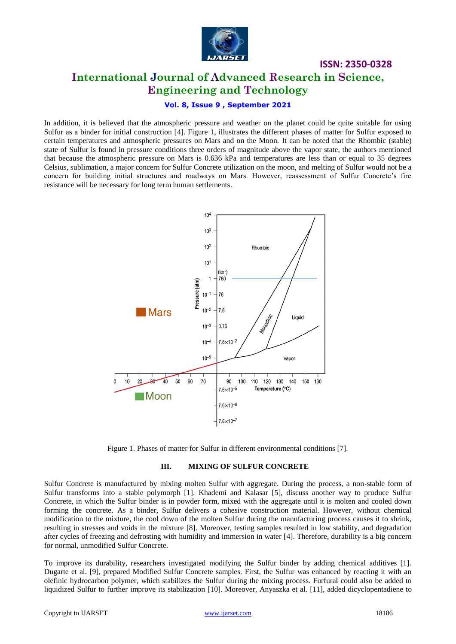

# **ISSN: 2350-0328 International Journal of Advanced Research in Science, Engineering and Technology**

#### **Vol. 8, Issue 9 , September 2021**

In addition, it is believed that the atmospheric pressure and weather on the planet could be quite suitable for using Sulfur as a binder for initial construction [4]. Figure 1, illustrates the different phases of matter for Sulfur exposed to certain temperatures and atmospheric pressures on Mars and on the Moon. It can be noted that the Rhombic (stable) state of Sulfur is found in pressure conditions three orders of magnitude above the vapor state, the authors mentioned that because the atmospheric pressure on Mars is 0.636 kPa and temperatures are less than or equal to 35 degrees Celsius, sublimation, a major concern for Sulfur Concrete utilization on the moon, and melting of Sulfur would not be a concern for building initial structures and roadways on Mars. However, reassessment of Sulfur Concrete's fire resistance will be necessary for long term human settlements.



Figure 1. Phases of matter for Sulfur in different environmental conditions [7].

#### **III. MIXING OF SULFUR CONCRETE**

Sulfur Concrete is manufactured by mixing molten Sulfur with aggregate. During the process, a non-stable form of Sulfur transforms into a stable polymorph [1]. Khademi and Kalasar [5], discuss another way to produce Sulfur Concrete, in which the Sulfur binder is in powder form, mixed with the aggregate until it is molten and cooled down forming the concrete. As a binder, Sulfur delivers a cohesive construction material. However, without chemical modification to the mixture, the cool down of the molten Sulfur during the manufacturing process causes it to shrink, resulting in stresses and voids in the mixture [8]. Moreover, testing samples resulted in low stability, and degradation after cycles of freezing and defrosting with humidity and immersion in water [4]. Therefore, durability is a big concern for normal, unmodified Sulfur Concrete.

To improve its durability, researchers investigated modifying the Sulfur binder by adding chemical additives [1]. Dugarte et al. [9], prepared Modified Sulfur Concrete samples. First, the Sulfur was enhanced by reacting it with an olefinic hydrocarbon polymer, which stabilizes the Sulfur during the mixing process. Furfural could also be added to liquidized Sulfur to further improve its stabilization [10]. Moreover, Anyaszka et al. [11], added dicyclopentadiene to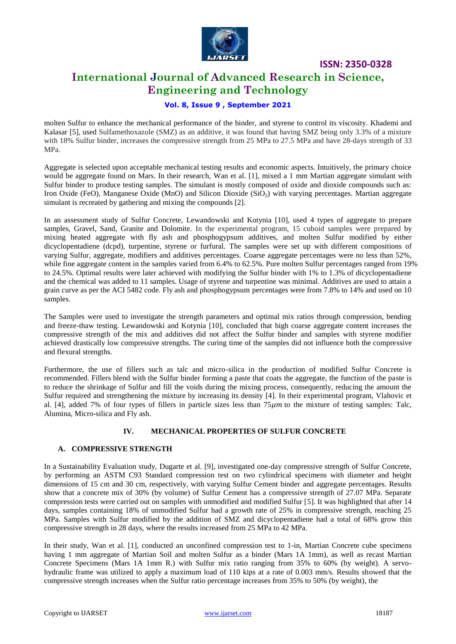

## **International Journal of Advanced Research in Science, Engineering and Technology**

#### **Vol. 8, Issue 9 , September 2021**

molten Sulfur to enhance the mechanical performance of the binder, and styrene to control its viscosity. Khademi and Kalasar [5], used Sulfamethoxazole (SMZ) as an additive, it was found that having SMZ being only 3.3% of a mixture with 18% Sulfur binder, increases the compressive strength from 25 MPa to 27.5 MPa and have 28-days strength of 33 MPa.

Aggregate is selected upon acceptable mechanical testing results and economic aspects. Intuitively, the primary choice would be aggregate found on Mars. In their research, Wan et al. [1], mixed a 1 mm Martian aggregate simulant with Sulfur binder to produce testing samples. The simulant is mostly composed of oxide and dioxide compounds such as: Iron Oxide (FeO), Manganese Oxide (MnO) and Silicon Dioxide (SiO<sub>2</sub>) with varying percentages. Martian aggregate simulant is recreated by gathering and mixing the compounds [2].

In an assessment study of Sulfur Concrete, Lewandowski and Kotynia [10], used 4 types of aggregate to prepare samples, Gravel, Sand, Granite and Dolomite. In the experimental program, 15 cuboid samples were prepared by mixing heated aggregate with fly ash and phosphogypsum additives, and molten Sulfur modified by either dicyclopentadiene (dcpd), turpentine, styrene or furfural. The samples were set up with different compositions of varying Sulfur, aggregate, modifiers and additives percentages. Coarse aggregate percentages were no less than 52%, while fine aggregate content in the samples varied from 6.4% to 62.5%. Pure molten Sulfur percentages ranged from 19% to 24.5%. Optimal results were later achieved with modifying the Sulfur binder with 1% to 1.3% of dicyclopentadiene and the chemical was added to 11 samples. Usage of styrene and turpentine was minimal. Additives are used to attain a grain curve as per the ACI 5482 code. Fly ash and phosphogypsum percentages were from 7.8% to 14% and used on 10 samples.

The Samples were used to investigate the strength parameters and optimal mix ratios through compression, bending and freeze-thaw testing. Lewandowski and Kotynia [10], concluded that high coarse aggregate content increases the compressive strength of the mix and additives did not affect the Sulfur binder and samples with styrene modifier achieved drastically low compressive strengths. The curing time of the samples did not influence both the compressive and flexural strengths.

Furthermore, the use of fillers such as talc and micro-silica in the production of modified Sulfur Concrete is recommended. Fillers blend with the Sulfur binder forming a paste that coats the aggregate, the function of the paste is to reduce the shrinkage of Sulfur and fill the voids during the mixing process, consequently, reducing the amount the Sulfur required and strengthening the mixture by increasing its density [4]. In their experimental program, Vlahovic et al. [4], added 7% of four types of fillers in particle sizes less than  $75 \mu m$  to the mixture of testing samples: Talc, Alumina, Micro-silica and Fly ash.

#### **IV. MECHANICAL PROPERTIES OF SULFUR CONCRETE**

#### **A. COMPRESSIVE STRENGTH**

In a Sustainability Evaluation study, Dugarte et al. [9], investigated one-day compressive strength of Sulfur Concrete, by performing an ASTM C93 Standard compression test on two cylindrical specimens with diameter and height dimensions of 15 cm and 30 cm, respectively, with varying Sulfur Cement binder and aggregate percentages. Results show that a concrete mix of 30% (by volume) of Sulfur Cement has a compressive strength of 27.07 MPa. Separate compression tests were carried out on samples with unmodified and modified Sulfur [5]. It was highlighted that after 14 days, samples containing 18% of unmodified Sulfur had a growth rate of 25% in compressive strength, reaching 25 MPa. Samples with Sulfur modified by the addition of SMZ and dicyclopentadiene had a total of 68% grow thin compressive strength in 28 days, where the results increased from 25 MPa to 42 MPa.

In their study, Wan et al. [1], conducted an unconfined compression test to 1-in, Martian Concrete cube specimens having 1 mm aggregate of Martian Soil and molten Sulfur as a binder (Mars 1A 1mm), as well as recast Martian Concrete Specimens (Mars 1A 1mm R.) with Sulfur mix ratio ranging from 35% to 60% (by weight). A servohydraulic frame was utilized to apply a maximum load of 110 kips at a rate of 0.003 mm/s. Results showed that the compressive strength increases when the Sulfur ratio percentage increases from 35% to 50% (by weight), the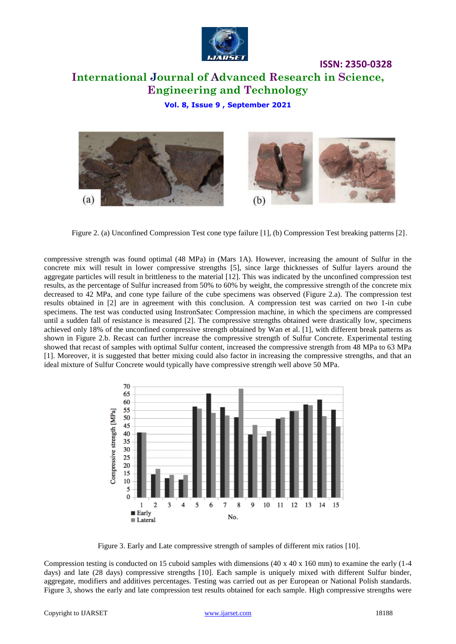

# **International Journal of Advanced Research in Science, Engineering and Technology**

**ISSN: 2350-0328**

**Vol. 8, Issue 9 , September 2021**



Figure 2. (a) Unconfined Compression Test cone type failure [1], (b) Compression Test breaking patterns [2].

compressive strength was found optimal (48 MPa) in (Mars 1A). However, increasing the amount of Sulfur in the concrete mix will result in lower compressive strengths [5], since large thicknesses of Sulfur layers around the aggregate particles will result in brittleness to the material [12]. This was indicated by the unconfined compression test results, as the percentage of Sulfur increased from 50% to 60% by weight, the compressive strength of the concrete mix decreased to 42 MPa, and cone type failure of the cube specimens was observed (Figure 2.a). The compression test results obtained in [2] are in agreement with this conclusion. A compression test was carried on two 1-in cube specimens. The test was conducted using InstronSatec Compression machine, in which the specimens are compressed until a sudden fall of resistance is measured [2]. The compressive strengths obtained were drastically low, specimens achieved only 18% of the unconfined compressive strength obtained by Wan et al. [1], with different break patterns as shown in Figure 2.b. Recast can further increase the compressive strength of Sulfur Concrete. Experimental testing showed that recast of samples with optimal Sulfur content, increased the compressive strength from 48 MPa to 63 MPa [1]. Moreover, it is suggested that better mixing could also factor in increasing the compressive strengths, and that an ideal mixture of Sulfur Concrete would typically have compressive strength well above 50 MPa.



Figure 3. Early and Late compressive strength of samples of different mix ratios [10].

Compression testing is conducted on 15 cuboid samples with dimensions  $(40 \times 40 \times 160 \text{ mm})$  to examine the early  $(1-4)$ days) and late (28 days) compressive strengths [10]. Each sample is uniquely mixed with different Sulfur binder, aggregate, modifiers and additives percentages. Testing was carried out as per European or National Polish standards. Figure 3, shows the early and late compression test results obtained for each sample. High compressive strengths were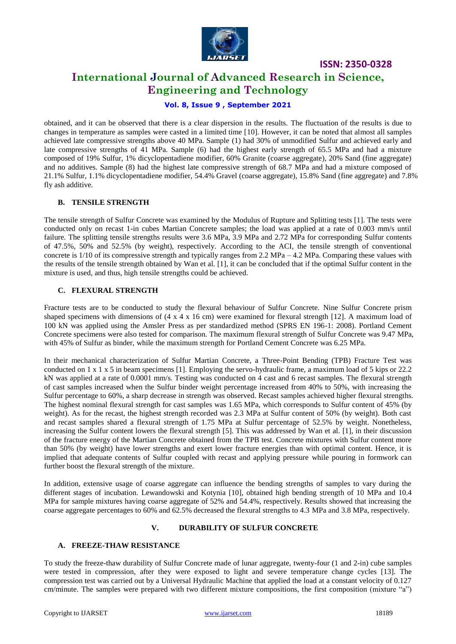

# **International Journal of Advanced Research in Science, Engineering and Technology**

#### **Vol. 8, Issue 9 , September 2021**

obtained, and it can be observed that there is a clear dispersion in the results. The fluctuation of the results is due to changes in temperature as samples were casted in a limited time [10]. However, it can be noted that almost all samples achieved late compressive strengths above 40 MPa. Sample (1) had 30% of unmodified Sulfur and achieved early and late compressive strengths of 41 MPa. Sample (6) had the highest early strength of 65.5 MPa and had a mixture composed of 19% Sulfur, 1% dicyclopentadiene modifier, 60% Granite (coarse aggregate), 20% Sand (fine aggregate) and no additives. Sample (8) had the highest late compressive strength of 68.7 MPa and had a mixture composed of 21.1% Sulfur, 1.1% dicyclopentadiene modifier, 54.4% Gravel (coarse aggregate), 15.8% Sand (fine aggregate) and 7.8% fly ash additive.

#### **B. TENSILE STRENGTH**

The tensile strength of Sulfur Concrete was examined by the Modulus of Rupture and Splitting tests [1]. The tests were conducted only on recast 1-in cubes Martian Concrete samples; the load was applied at a rate of 0.003 mm/s until failure. The splitting tensile strengths results were 3.6 MPa, 3.9 MPa and 2.72 MPa for corresponding Sulfur contents of 47.5%, 50% and 52.5% (by weight), respectively. According to the ACI, the tensile strength of conventional concrete is  $1/10$  of its compressive strength and typically ranges from 2.2 MPa – 4.2 MPa. Comparing these values with the results of the tensile strength obtained by Wan et al. [1], it can be concluded that if the optimal Sulfur content in the mixture is used, and thus, high tensile strengths could be achieved.

#### **C. FLEXURAL STRENGTH**

Fracture tests are to be conducted to study the flexural behaviour of Sulfur Concrete. Nine Sulfur Concrete prism shaped specimens with dimensions of (4 x 4 x 16 cm) were examined for flexural strength [12]. A maximum load of 100 kN was applied using the Amsler Press as per standardized method (SPRS EN 196-1: 2008). Portland Cement Concrete specimens were also tested for comparison. The maximum flexural strength of Sulfur Concrete was 9.47 MPa, with 45% of Sulfur as binder, while the maximum strength for Portland Cement Concrete was 6.25 MPa.

In their mechanical characterization of Sulfur Martian Concrete, a Three-Point Bending (TPB) Fracture Test was conducted on 1 x 1 x 5 in beam specimens [1]. Employing the servo-hydraulic frame, a maximum load of 5 kips or 22.2 kN was applied at a rate of 0.0001 mm/s. Testing was conducted on 4 cast and 6 recast samples. The flexural strength of cast samples increased when the Sulfur binder weight percentage increased from 40% to 50%, with increasing the Sulfur percentage to 60%, a sharp decrease in strength was observed. Recast samples achieved higher flexural strengths. The highest nominal flexural strength for cast samples was 1.65 MPa, which corresponds to Sulfur content of 45% (by weight). As for the recast, the highest strength recorded was 2.3 MPa at Sulfur content of 50% (by weight). Both cast and recast samples shared a flexural strength of 1.75 MPa at Sulfur percentage of 52.5% by weight. Nonetheless, increasing the Sulfur content lowers the flexural strength [5]. This was addressed by Wan et al. [1], in their discussion of the fracture energy of the Martian Concrete obtained from the TPB test. Concrete mixtures with Sulfur content more than 50% (by weight) have lower strengths and exert lower fracture energies than with optimal content. Hence, it is implied that adequate contents of Sulfur coupled with recast and applying pressure while pouring in formwork can further boost the flexural strength of the mixture.

In addition, extensive usage of coarse aggregate can influence the bending strengths of samples to vary during the different stages of incubation. Lewandowski and Kotynia [10], obtained high bending strength of 10 MPa and 10.4 MPa for sample mixtures having coarse aggregate of 52% and 54.4%, respectively. Results showed that increasing the coarse aggregate percentages to 60% and 62.5% decreased the flexural strengths to 4.3 MPa and 3.8 MPa, respectively.

#### **V. DURABILITY OF SULFUR CONCRETE**

#### **A. FREEZE-THAW RESISTANCE**

To study the freeze-thaw durability of Sulfur Concrete made of lunar aggregate, twenty-four (1 and 2-in) cube samples were tested in compression, after they were exposed to light and severe temperature change cycles [13]. The compression test was carried out by a Universal Hydraulic Machine that applied the load at a constant velocity of 0.127 cm/minute. The samples were prepared with two different mixture compositions, the first composition (mixture "a")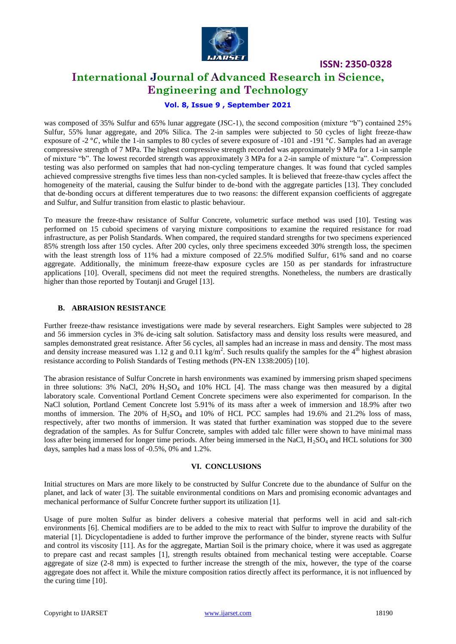

## **International Journal of Advanced Research in Science, Engineering and Technology**

#### **Vol. 8, Issue 9 , September 2021**

was composed of 35% Sulfur and 65% lunar aggregate (JSC-1), the second composition (mixture "b") contained 25% Sulfur, 55% lunar aggregate, and 20% Silica. The 2-in samples were subjected to 50 cycles of light freeze-thaw exposure of -2  $^{\circ}C$ , while the 1-in samples to 80 cycles of severe exposure of -101 and -191  $^{\circ}C$ . Samples had an average compressive strength of 7 MPa. The highest compressive strength recorded was approximately 9 MPa for a 1-in sample of mixture "b". The lowest recorded strength was approximately 3 MPa for a 2-in sample of mixture "a". Compression testing was also performed on samples that had non-cycling temperature changes. It was found that cycled samples achieved compressive strengths five times less than non-cycled samples. It is believed that freeze-thaw cycles affect the homogeneity of the material, causing the Sulfur binder to de-bond with the aggregate particles [13]. They concluded that de-bonding occurs at different temperatures due to two reasons: the different expansion coefficients of aggregate and Sulfur, and Sulfur transition from elastic to plastic behaviour.

To measure the freeze-thaw resistance of Sulfur Concrete, volumetric surface method was used [10]. Testing was performed on 15 cuboid specimens of varying mixture compositions to examine the required resistance for road infrastructure, as per Polish Standards. When compared, the required standard strengths for two specimens experienced 85% strength loss after 150 cycles. After 200 cycles, only three specimens exceeded 30% strength loss, the specimen with the least strength loss of 11% had a mixture composed of 22.5% modified Sulfur, 61% sand and no coarse aggregate. Additionally, the minimum freeze-thaw exposure cycles are 150 as per standards for infrastructure applications [10]. Overall, specimens did not meet the required strengths. Nonetheless, the numbers are drastically higher than those reported by Toutanii and Grugel [13].

#### **B. ABRAISION RESISTANCE**

Further freeze-thaw resistance investigations were made by several researchers. Eight Samples were subjected to 28 and 56 immersion cycles in 3% de-icing salt solution. Satisfactory mass and density loss results were measured, and samples demonstrated great resistance. After 56 cycles, all samples had an increase in mass and density. The most mass and density increase measured was 1.12 g and 0.11 kg/m<sup>2</sup>. Such results qualify the samples for the 4<sup>th</sup> highest abrasion resistance according to Polish Standards of Testing methods (PN-EN 1338:2005) [10].

The abrasion resistance of Sulfur Concrete in harsh environments was examined by immersing prism shaped specimens in three solutions:  $3\%$  NaCl,  $20\%$  H<sub>2</sub>SO<sub>4</sub> and  $10\%$  HCL [4]. The mass change was then measured by a digital laboratory scale. Conventional Portland Cement Concrete specimens were also experimented for comparison. In the NaCl solution, Portland Cement Concrete lost 5.91% of its mass after a week of immersion and 18.9% after two months of immersion. The 20% of  $H_2SO_4$  and 10% of HCL PCC samples had 19.6% and 21.2% loss of mass, respectively, after two months of immersion. It was stated that further examination was stopped due to the severe degradation of the samples. As for Sulfur Concrete, samples with added talc filler were shown to have minimal mass loss after being immersed for longer time periods. After being immersed in the NaCl,  $H_2SO_4$  and HCL solutions for 300 days, samples had a mass loss of -0.5%, 0% and 1.2%.

#### **VI. CONCLUSIONS**

Initial structures on Mars are more likely to be constructed by Sulfur Concrete due to the abundance of Sulfur on the planet, and lack of water [3]. The suitable environmental conditions on Mars and promising economic advantages and mechanical performance of Sulfur Concrete further support its utilization [1].

Usage of pure molten Sulfur as binder delivers a cohesive material that performs well in acid and salt-rich environments [6]. Chemical modifiers are to be added to the mix to react with Sulfur to improve the durability of the material [1]. Dicyclopentadiene is added to further improve the performance of the binder, styrene reacts with Sulfur and control its viscosity [11]. As for the aggregate, Martian Soil is the primary choice, where it was used as aggregate to prepare cast and recast samples [1], strength results obtained from mechanical testing were acceptable. Coarse aggregate of size (2-8 mm) is expected to further increase the strength of the mix, however, the type of the coarse aggregate does not affect it. While the mixture composition ratios directly affect its performance, it is not influenced by the curing time [10].